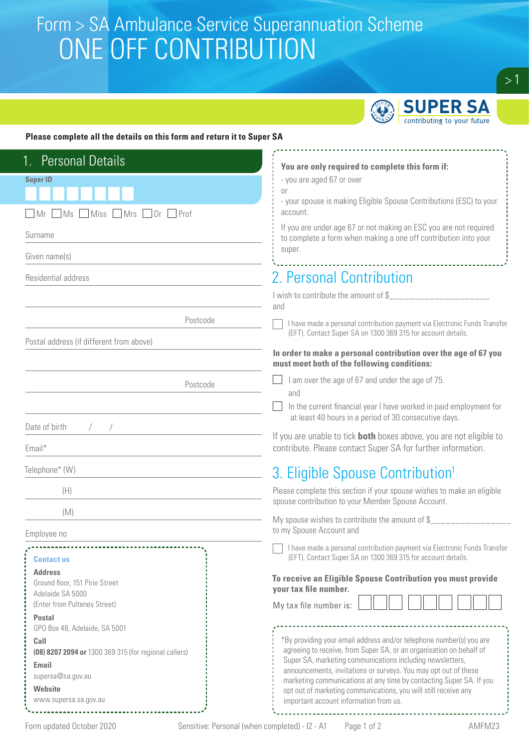# Form > SA Ambulance Service Superannuation Scheme<br>CONIE OEE CONITOIDI ITIONI ONE OFF CONTRIBUTION



 $> 1$ 

#### **Please complete all the details on this form and return it to Super SA**

| <b>Personal Details</b>                                                                              |                                                                                                                                                                                                                                                                            |
|------------------------------------------------------------------------------------------------------|----------------------------------------------------------------------------------------------------------------------------------------------------------------------------------------------------------------------------------------------------------------------------|
| <b>Super ID</b>                                                                                      | You are only required to complete this form if:<br>- you are aged 67 or over                                                                                                                                                                                               |
|                                                                                                      | 0r                                                                                                                                                                                                                                                                         |
| Mr Ms Miss Mrs Dr Prof                                                                               | - your spouse is making Eligible Spouse Contributions (ESC) to your<br>account.                                                                                                                                                                                            |
| Surname                                                                                              | If you are under age 67 or not making an ESC you are not required<br>to complete a form when making a one off contribution into your                                                                                                                                       |
| Given name(s)                                                                                        | super.                                                                                                                                                                                                                                                                     |
| Residential address                                                                                  | 2. Personal Contribution                                                                                                                                                                                                                                                   |
|                                                                                                      | I wish to contribute the amount of \$________________<br>and                                                                                                                                                                                                               |
| Postcode                                                                                             | I have made a personal contribution payment via Electronic Funds Transfer<br>(EFT). Contact Super SA on 1300 369 315 for account details.                                                                                                                                  |
| Postal address (if different from above)                                                             |                                                                                                                                                                                                                                                                            |
|                                                                                                      | In order to make a personal contribution over the age of 67 you<br>must meet both of the following conditions:                                                                                                                                                             |
| Postcode                                                                                             | I am over the age of 67 and under the age of 75.<br>and                                                                                                                                                                                                                    |
|                                                                                                      | In the current financial year I have worked in paid employment for                                                                                                                                                                                                         |
| Date of birth                                                                                        | at least 40 hours in a period of 30 consecutive days.                                                                                                                                                                                                                      |
| Email*                                                                                               | If you are unable to tick <b>both</b> boxes above, you are not eligible to<br>contribute. Please contact Super SA for further information.                                                                                                                                 |
| Telephone* (W)                                                                                       | 3. Eligible Spouse Contribution <sup>1</sup>                                                                                                                                                                                                                               |
| (H)                                                                                                  | Please complete this section if your spouse wishes to make an eligible<br>spouse contribution to your Member Spouse Account.                                                                                                                                               |
| (M)                                                                                                  | My spouse wishes to contribute the amount of $\frac{1}{2}$                                                                                                                                                                                                                 |
| Employee no                                                                                          | to my Spouse Account and                                                                                                                                                                                                                                                   |
| <b>Contactus</b>                                                                                     | I have made a personal contribution payment via Electronic Funds Transfer<br>(EFT). Contact Super SA on 1300 369 315 for account details.                                                                                                                                  |
| <b>Address</b><br>Ground floor, 151 Pirie Street<br>Adelaide SA 5000<br>(Enter from Pulteney Street) | To receive an Eligible Spouse Contribution you must provide<br>your tax file number.<br>My tax file number is:                                                                                                                                                             |
| <b>Postal</b><br>GPO Box 48, Adelaide, SA 5001                                                       |                                                                                                                                                                                                                                                                            |
| Call<br>(08) 8207 2094 or 1300 369 315 (for regional callers)<br>Email<br>supersa@sa.gov.au          | *By providing your email address and/or telephone number(s) you are<br>agreeing to receive, from Super SA, or an organisation on behalf of<br>Super SA, marketing communications including newsletters,<br>announcements, invitations or surveys. You may opt out of these |
| <b>Website</b><br>www.supersa.sa.gov.au                                                              | marketing communications at any time by contacting Super SA. If you<br>opt out of marketing communications, you will still receive any<br>important account information from us.                                                                                           |